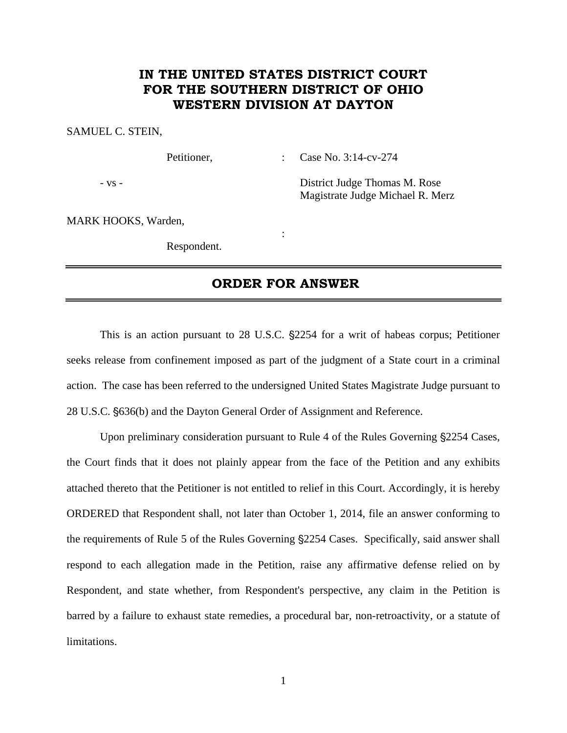## **IN THE UNITED STATES DISTRICT COURT FOR THE SOUTHERN DISTRICT OF OHIO WESTERN DIVISION AT DAYTON**

## SAMUEL C. STEIN,

Petitioner, : Case No. 3:14-cv-274

- vs - District Judge Thomas M. Rose Magistrate Judge Michael R. Merz

MARK HOOKS, Warden,

Respondent.

**Service State State State** 

## **ORDER FOR ANSWER**

This is an action pursuant to 28 U.S.C. §2254 for a writ of habeas corpus; Petitioner seeks release from confinement imposed as part of the judgment of a State court in a criminal action. The case has been referred to the undersigned United States Magistrate Judge pursuant to 28 U.S.C. '636(b) and the Dayton General Order of Assignment and Reference.

Upon preliminary consideration pursuant to Rule 4 of the Rules Governing §2254 Cases, the Court finds that it does not plainly appear from the face of the Petition and any exhibits attached thereto that the Petitioner is not entitled to relief in this Court. Accordingly, it is hereby ORDERED that Respondent shall, not later than October 1, 2014, file an answer conforming to the requirements of Rule 5 of the Rules Governing  $\S2254$  Cases. Specifically, said answer shall respond to each allegation made in the Petition, raise any affirmative defense relied on by Respondent, and state whether, from Respondent's perspective, any claim in the Petition is barred by a failure to exhaust state remedies, a procedural bar, non-retroactivity, or a statute of limitations.